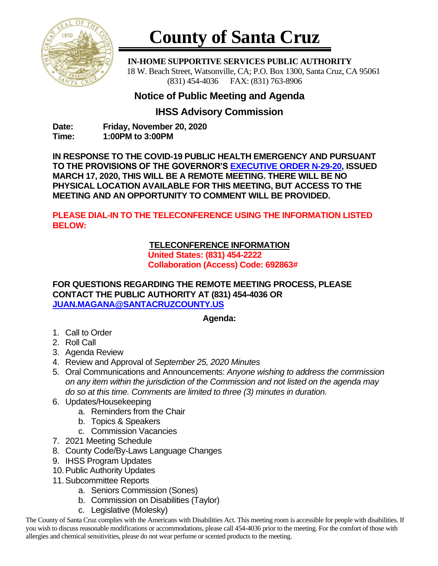

# **County of Santa Cruz**

 **IN-HOME SUPPORTIVE SERVICES PUBLIC AUTHORITY** 18 W. Beach Street, Watsonville, CA; P.O. Box 1300, Santa Cruz, CA 95061 (831) 454-4036 FAX: (831) 763-8906

## **Notice of Public Meeting and Agenda**

### **IHSS Advisory Commission**

**Date: Friday, November 20, 2020 Time: 1:00PM to 3:00PM**

**IN RESPONSE TO THE COVID-19 PUBLIC HEALTH EMERGENCY AND PURSUANT TO THE PROVISIONS OF THE GOVERNOR'S [EXECUTIVE ORDER N-29-20,](https://www.gov.ca.gov/wp-content/uploads/2020/03/3.17.20-N-29-20-EO.pdf) ISSUED MARCH 17, 2020, THIS WILL BE A REMOTE MEETING. THERE WILL BE NO PHYSICAL LOCATION AVAILABLE FOR THIS MEETING, BUT ACCESS TO THE MEETING AND AN OPPORTUNITY TO COMMENT WILL BE PROVIDED.**

**PLEASE DIAL-IN TO THE TELECONFERENCE USING THE INFORMATION LISTED BELOW:**

#### **TELECONFERENCE INFORMATION**

**United States: (831) 454-2222 Collaboration (Access) Code: 692863#**

**FOR QUESTIONS REGARDING THE REMOTE MEETING PROCESS, PLEASE CONTACT THE PUBLIC AUTHORITY AT (831) 454-4036 OR [JUAN.MAGANA@SANTACRUZCOUNTY.US](mailto:JUAN.MAGANA@SANTACRUZCOUNTY.US)**

#### **Agenda:**

- 1. Call to Order
- 2. Roll Call
- 3. Agenda Review
- 4. Review and Approval of *September 25, 2020 Minutes*
- 5. Oral Communications and Announcements: *Anyone wishing to address the commission on any item within the jurisdiction of the Commission and not listed on the agenda may do so at this time. Comments are limited to three (3) minutes in duration.*
- 6. Updates/Housekeeping
	- a. Reminders from the Chair
	- b. Topics & Speakers
	- c. Commission Vacancies
- 7. 2021 Meeting Schedule
- 8. County Code/By-Laws Language Changes
- 9. IHSS Program Updates
- 10.Public Authority Updates
- 11.Subcommittee Reports
	- a. Seniors Commission (Sones)
	- b. Commission on Disabilities (Taylor)
	- c. Legislative (Molesky)

The County of Santa Cruz complies with the Americans with Disabilities Act. This meeting room is accessible for people with disabilities. If you wish to discuss reasonable modifications or accommodations, please call 454-4036 prior to the meeting. For the comfort of those with allergies and chemical sensitivities, please do not wear perfume or scented products to the meeting.